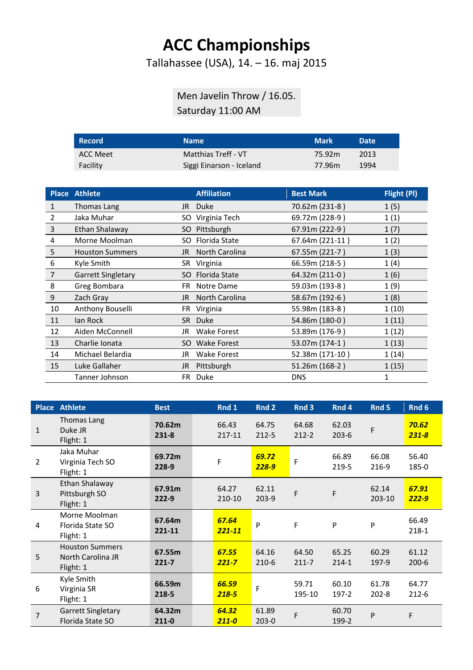## **ACC Championships**

Tallahassee (USA), 14. – 16. maj 2015

## Men Javelin Throw / 16.05. Saturday 11:00 AM

| <b>Record</b> | <b>Name</b>              | <b>Mark</b> | <b>Date</b> |
|---------------|--------------------------|-------------|-------------|
| ACC Meet      | Matthias Treff - VT      | 75.92m      | 2013        |
| Facility      | Siggi Einarson - Iceland | 77.96m      | 1994        |

|                | Place Athlete             |      | <b>Affiliation</b> | <b>Best Mark</b> | Flight (PI)  |
|----------------|---------------------------|------|--------------------|------------------|--------------|
| 1              | Thomas Lang               | JR I | <b>Duke</b>        | 70.62m (231-8)   | 1(5)         |
| 2              | Jaka Muhar                |      | SO Virginia Tech   | 69.72m (228-9)   | 1(1)         |
| $\overline{3}$ | Ethan Shalaway            |      | SO Pittsburgh      | 67.91m (222-9)   | 1(7)         |
| 4              | Morne Moolman             |      | SO Florida State   | 67.64m (221-11)  | 1(2)         |
| 5              | <b>Houston Summers</b>    | JR   | North Carolina     | 67.55m (221-7)   | 1(3)         |
| 6              | Kyle Smith                |      | SR Virginia        | 66.59m (218-5)   | 1(4)         |
| 7              | <b>Garrett Singletary</b> |      | SO Florida State   | 64.32m (211-0)   | 1(6)         |
| 8              | Greg Bombara              | FR.  | Notre Dame         | 59.03m (193-8)   | 1(9)         |
| 9              | Zach Gray                 | JR.  | North Carolina     | 58.67m (192-6)   | 1(8)         |
| 10             | Anthony Bouselli          |      | FR Virginia        | 55.98m (183-8)   | 1(10)        |
| 11             | lan Rock                  |      | SR Duke            | 54.86m (180-0)   | 1(11)        |
| 12             | Aiden McConnell           | JR   | <b>Wake Forest</b> | 53.89m (176-9)   | 1(12)        |
| 13             | Charlie Ionata            |      | SO Wake Forest     | 53.07m (174-1)   | 1(13)        |
| 14             | Michael Belardia          | JR.  | Wake Forest        | 52.38m (171-10)  | 1(14)        |
| 15             | Luke Gallaher             | JR   | Pittsburgh         | 51.26m (168-2)   | 1(15)        |
|                | Tanner Johnson            | FR.  | <b>Duke</b>        | <b>DNS</b>       | $\mathbf{1}$ |

| <b>Place</b>   | <b>Athlete</b>                                           | <b>Best</b>         | Rnd 1               | Rnd 2              | Rnd 3              | Rnd 4              | Rnd 5              | Rnd 6                 |
|----------------|----------------------------------------------------------|---------------------|---------------------|--------------------|--------------------|--------------------|--------------------|-----------------------|
| $\mathbf{1}$   | Thomas Lang<br>Duke JR<br>Flight: 1                      | 70.62m<br>$231 - 8$ | 66.43<br>217-11     | 64.75<br>$212 - 5$ | 64.68<br>$212 - 2$ | 62.03<br>$203 - 6$ | F                  | 70.62<br>$231 - 8$    |
| $\overline{2}$ | Jaka Muhar<br>Virginia Tech SO<br>Flight: 1              | 69.72m<br>228-9     | F                   | 69.72<br>$228 - 9$ | F                  | 66.89<br>219-5     | 66.08<br>216-9     | 56.40<br>185-0        |
| $\overline{3}$ | Ethan Shalaway<br>Pittsburgh SO<br>Flight: 1             | 67.91m<br>$222 - 9$ | 64.27<br>210-10     | 62.11<br>$203-9$   | F                  | F                  | 62.14<br>203-10    | 67.91<br><b>222-9</b> |
| 4              | Morne Moolman<br>Florida State SO<br>Flight: 1           | 67.64m<br>221-11    | 67.64<br>$221 - 11$ | P                  | F                  | P                  | P                  | 66.49<br>$218 - 1$    |
| 5              | <b>Houston Summers</b><br>North Carolina JR<br>Flight: 1 | 67.55m<br>$221 - 7$ | 67.55<br>$221 - 7$  | 64.16<br>$210-6$   | 64.50<br>$211 - 7$ | 65.25<br>$214 - 1$ | 60.29<br>197-9     | 61.12<br>$200 - 6$    |
| 6              | Kyle Smith<br>Virginia SR<br>Flight: 1                   | 66.59m<br>218-5     | 66.59<br>$218 - 5$  | F                  | 59.71<br>195-10    | 60.10<br>$197-2$   | 61.78<br>$202 - 8$ | 64.77<br>$212 - 6$    |
| $\overline{7}$ | <b>Garrett Singletary</b><br>Florida State SO            | 64.32m<br>$211 - 0$ | 64.32<br>$211 - 0$  | 61.89<br>$203 - 0$ | F                  | 60.70<br>199-2     | P                  | F                     |